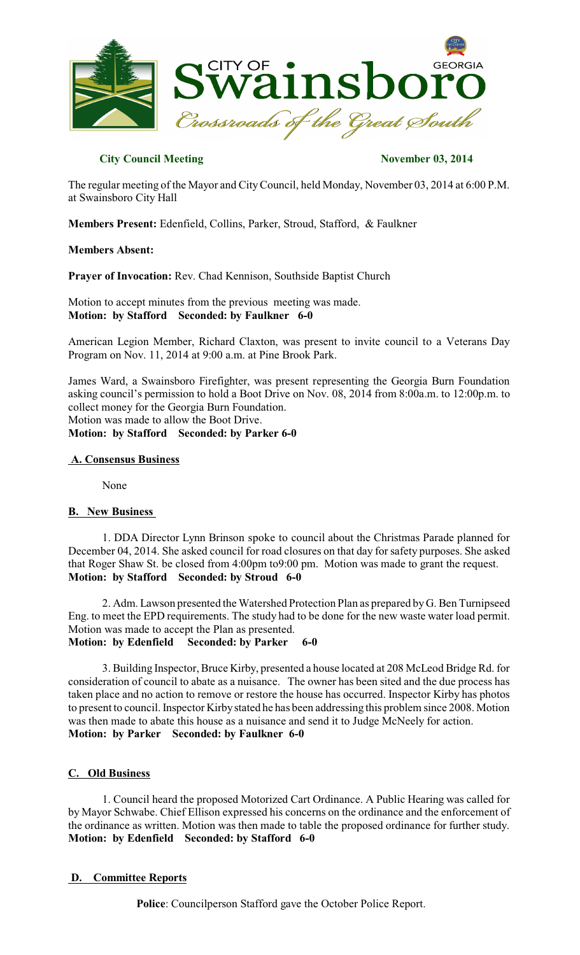

# **City Council Meeting November 03, 2014**

The regular meeting of the Mayor and CityCouncil, held Monday, November 03, 2014 at 6:00 P.M. at Swainsboro City Hall

**Members Present:** Edenfield, Collins, Parker, Stroud, Stafford, & Faulkner

## **Members Absent:**

**Prayer of Invocation:** Rev. Chad Kennison, Southside Baptist Church

Motion to accept minutes from the previous meeting was made. **Motion: by Stafford Seconded: by Faulkner 6-0**

American Legion Member, Richard Claxton, was present to invite council to a Veterans Day Program on Nov. 11, 2014 at 9:00 a.m. at Pine Brook Park.

James Ward, a Swainsboro Firefighter, was present representing the Georgia Burn Foundation asking council's permission to hold a Boot Drive on Nov. 08, 2014 from 8:00a.m. to 12:00p.m. to collect money for the Georgia Burn Foundation.

Motion was made to allow the Boot Drive.

**Motion: by Stafford Seconded: by Parker 6-0**

## **A. Consensus Business**

None

## **B. New Business**

1. DDA Director Lynn Brinson spoke to council about the Christmas Parade planned for December 04, 2014. She asked council for road closures on that day for safety purposes. She asked that Roger Shaw St. be closed from 4:00pm to9:00 pm. Motion was made to grant the request. **Motion: by Stafford Seconded: by Stroud 6-0**

2. Adm. Lawson presented the Watershed Protection Plan as prepared by G. Ben Turnipseed Eng. to meet the EPD requirements. The study had to be done for the new waste water load permit. Motion was made to accept the Plan as presented. **Motion: by Edenfield Seconded: by Parker 6-0**

3. Building Inspector, Bruce Kirby, presented a house located at 208 McLeod Bridge Rd. for consideration of council to abate as a nuisance. The owner has been sited and the due process has taken place and no action to remove or restore the house has occurred. Inspector Kirby has photos to present to council. Inspector Kirby stated he has been addressing this problem since 2008. Motion was then made to abate this house as a nuisance and send it to Judge McNeely for action. **Motion: by Parker Seconded: by Faulkner 6-0**

## **C. Old Business**

1. Council heard the proposed Motorized Cart Ordinance. A Public Hearing was called for by Mayor Schwabe. Chief Ellison expressed his concerns on the ordinance and the enforcement of the ordinance as written. Motion was then made to table the proposed ordinance for further study. **Motion: by Edenfield Seconded: by Stafford 6-0**

## **D. Committee Reports**

**Police**: Councilperson Stafford gave the October Police Report.